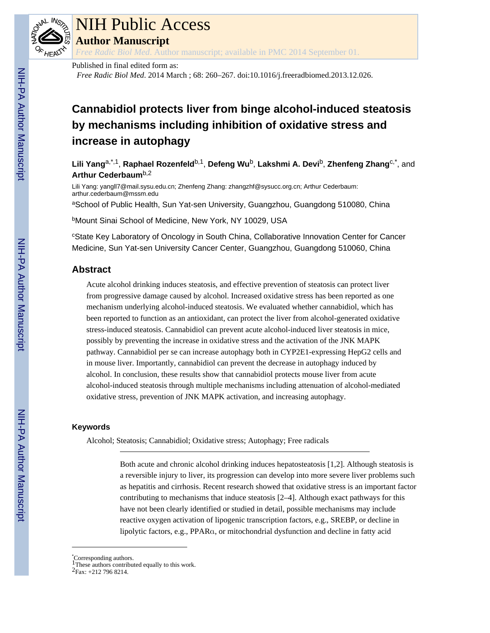

# NIH Public Access

**Author Manuscript**

*Free Radic Biol Med*. Author manuscript; available in PMC 2014 September 01.

### Published in final edited form as: *Free Radic Biol Med*. 2014 March ; 68: 260–267. doi:10.1016/j.freeradbiomed.2013.12.026.

## **Cannabidiol protects liver from binge alcohol-induced steatosis by mechanisms including inhibition of oxidative stress and increase in autophagy**

**Lili Yang**a,\*,1, **Raphael Rozenfeld**b,1, **Defeng Wu**b, **Lakshmi A. Devi**b, **Zhenfeng Zhang**c,\*, and **Arthur Cederbaum**b,2

Lili Yang: yangll7@mail.sysu.edu.cn; Zhenfeng Zhang: zhangzhf@sysucc.org.cn; Arthur Cederbaum: arthur.cederbaum@mssm.edu

aSchool of Public Health, Sun Yat-sen University, Guangzhou, Guangdong 510080, China

**bMount Sinai School of Medicine, New York, NY 10029, USA** 

<sup>c</sup>State Key Laboratory of Oncology in South China, Collaborative Innovation Center for Cancer Medicine, Sun Yat-sen University Cancer Center, Guangzhou, Guangdong 510060, China

## **Abstract**

Acute alcohol drinking induces steatosis, and effective prevention of steatosis can protect liver from progressive damage caused by alcohol. Increased oxidative stress has been reported as one mechanism underlying alcohol-induced steatosis. We evaluated whether cannabidiol, which has been reported to function as an antioxidant, can protect the liver from alcohol-generated oxidative stress-induced steatosis. Cannabidiol can prevent acute alcohol-induced liver steatosis in mice, possibly by preventing the increase in oxidative stress and the activation of the JNK MAPK pathway. Cannabidiol per se can increase autophagy both in CYP2E1-expressing HepG2 cells and in mouse liver. Importantly, cannabidiol can prevent the decrease in autophagy induced by alcohol. In conclusion, these results show that cannabidiol protects mouse liver from acute alcohol-induced steatosis through multiple mechanisms including attenuation of alcohol-mediated oxidative stress, prevention of JNK MAPK activation, and increasing autophagy.

## **Keywords**

Alcohol; Steatosis; Cannabidiol; Oxidative stress; Autophagy; Free radicals

Both acute and chronic alcohol drinking induces hepatosteatosis [1,2]. Although steatosis is a reversible injury to liver, its progression can develop into more severe liver problems such as hepatitis and cirrhosis. Recent research showed that oxidative stress is an important factor contributing to mechanisms that induce steatosis [2–4]. Although exact pathways for this have not been clearly identified or studied in detail, possible mechanisms may include reactive oxygen activation of lipogenic transcription factors, e.g., SREBP, or decline in lipolytic factors, e.g., PPARα, or mitochondrial dysfunction and decline in fatty acid

<sup>\*</sup>Corresponding authors. 1These authors contributed equally to this work.

<sup>2</sup>Fax: +212 796 8214.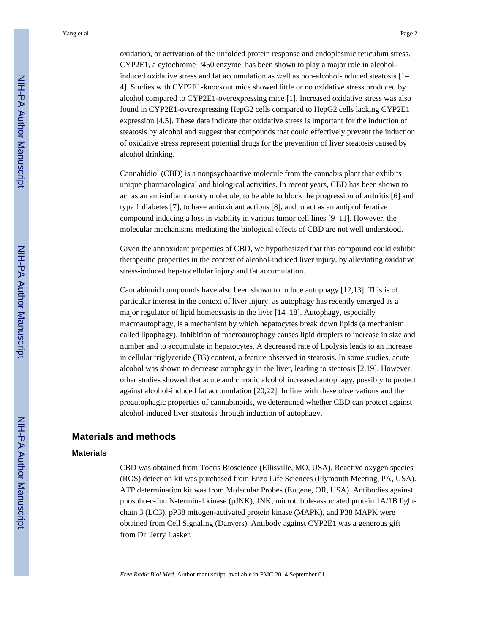oxidation, or activation of the unfolded protein response and endoplasmic reticulum stress. CYP2E1, a cytochrome P450 enzyme, has been shown to play a major role in alcoholinduced oxidative stress and fat accumulation as well as non-alcohol-induced steatosis  $[1 -$ 4]. Studies with CYP2E1-knockout mice showed little or no oxidative stress produced by alcohol compared to CYP2E1-overexpressing mice [1]. Increased oxidative stress was also found in CYP2E1-overexpressing HepG2 cells compared to HepG2 cells lacking CYP2E1 expression [4,5]. These data indicate that oxidative stress is important for the induction of steatosis by alcohol and suggest that compounds that could effectively prevent the induction of oxidative stress represent potential drugs for the prevention of liver steatosis caused by alcohol drinking.

Cannabidiol (CBD) is a nonpsychoactive molecule from the cannabis plant that exhibits unique pharmacological and biological activities. In recent years, CBD has been shown to act as an anti-inflammatory molecule, to be able to block the progression of arthritis [6] and type 1 diabetes [7], to have antioxidant actions [8], and to act as an antiproliferative compound inducing a loss in viability in various tumor cell lines [9–11]. However, the molecular mechanisms mediating the biological effects of CBD are not well understood.

Given the antioxidant properties of CBD, we hypothesized that this compound could exhibit therapeutic properties in the context of alcohol-induced liver injury, by alleviating oxidative stress-induced hepatocellular injury and fat accumulation.

Cannabinoid compounds have also been shown to induce autophagy [12,13]. This is of particular interest in the context of liver injury, as autophagy has recently emerged as a major regulator of lipid homeostasis in the liver [14–18]. Autophagy, especially macroautophagy, is a mechanism by which hepatocytes break down lipids (a mechanism called lipophagy). Inhibition of macroautophagy causes lipid droplets to increase in size and number and to accumulate in hepatocytes. A decreased rate of lipolysis leads to an increase in cellular triglyceride (TG) content, a feature observed in steatosis. In some studies, acute alcohol was shown to decrease autophagy in the liver, leading to steatosis [2,19]. However, other studies showed that acute and chronic alcohol increased autophagy, possibly to protect against alcohol-induced fat accumulation [20,22]. In line with these observations and the proautophagic properties of cannabinoids, we determined whether CBD can protect against alcohol-induced liver steatosis through induction of autophagy.

## **Materials and methods**

#### **Materials**

CBD was obtained from Tocris Bioscience (Ellisville, MO, USA). Reactive oxygen species (ROS) detection kit was purchased from Enzo Life Sciences (Plymouth Meeting, PA, USA). ATP determination kit was from Molecular Probes (Eugene, OR, USA). Antibodies against phospho-c-Jun N-terminal kinase (pJNK), JNK, microtubule-associated protein 1A/1B lightchain 3 (LC3), pP38 mitogen-activated protein kinase (MAPK), and P38 MAPK were obtained from Cell Signaling (Danvers). Antibody against CYP2E1 was a generous gift from Dr. Jerry Lasker.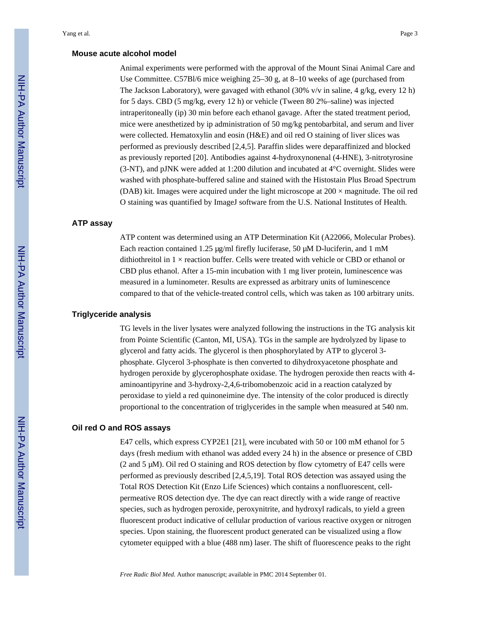#### **Mouse acute alcohol model**

Animal experiments were performed with the approval of the Mount Sinai Animal Care and Use Committee. C57Bl/6 mice weighing 25–30 g, at 8–10 weeks of age (purchased from The Jackson Laboratory), were gavaged with ethanol (30% v/v in saline, 4 g/kg, every 12 h) for 5 days. CBD (5 mg/kg, every 12 h) or vehicle (Tween 80 2%–saline) was injected intraperitoneally (ip) 30 min before each ethanol gavage. After the stated treatment period, mice were anesthetized by ip administration of 50 mg/kg pentobarbital, and serum and liver were collected. Hematoxylin and eosin (H&E) and oil red O staining of liver slices was performed as previously described [2,4,5]. Paraffin slides were deparaffinized and blocked as previously reported [20]. Antibodies against 4-hydroxynonenal (4-HNE), 3-nitrotyrosine (3-NT), and pJNK were added at 1:200 dilution and incubated at 4°C overnight. Slides were washed with phosphate-buffered saline and stained with the Histostain Plus Broad Spectrum (DAB) kit. Images were acquired under the light microscope at  $200 \times$  magnitude. The oil red O staining was quantified by ImageJ software from the U.S. National Institutes of Health.

#### **ATP assay**

ATP content was determined using an ATP Determination Kit (A22066, Molecular Probes). Each reaction contained 1.25 μg/ml firefly luciferase, 50 μM D-luciferin, and 1 mM dithiothreitol in 1 × reaction buffer. Cells were treated with vehicle or CBD or ethanol or CBD plus ethanol. After a 15-min incubation with 1 mg liver protein, luminescence was measured in a luminometer. Results are expressed as arbitrary units of luminescence compared to that of the vehicle-treated control cells, which was taken as 100 arbitrary units.

#### **Triglyceride analysis**

TG levels in the liver lysates were analyzed following the instructions in the TG analysis kit from Pointe Scientific (Canton, MI, USA). TGs in the sample are hydrolyzed by lipase to glycerol and fatty acids. The glycerol is then phosphorylated by ATP to glycerol 3 phosphate. Glycerol 3-phosphate is then converted to dihydroxyacetone phosphate and hydrogen peroxide by glycerophosphate oxidase. The hydrogen peroxide then reacts with 4 aminoantipyrine and 3-hydroxy-2,4,6-tribomobenzoic acid in a reaction catalyzed by peroxidase to yield a red quinoneimine dye. The intensity of the color produced is directly proportional to the concentration of triglycerides in the sample when measured at 540 nm.

#### **Oil red O and ROS assays**

E47 cells, which express CYP2E1 [21], were incubated with 50 or 100 mM ethanol for 5 days (fresh medium with ethanol was added every 24 h) in the absence or presence of CBD (2 and 5 μM). Oil red O staining and ROS detection by flow cytometry of E47 cells were performed as previously described [2,4,5,19]. Total ROS detection was assayed using the Total ROS Detection Kit (Enzo Life Sciences) which contains a nonfluorescent, cellpermeative ROS detection dye. The dye can react directly with a wide range of reactive species, such as hydrogen peroxide, peroxynitrite, and hydroxyl radicals, to yield a green fluorescent product indicative of cellular production of various reactive oxygen or nitrogen species. Upon staining, the fluorescent product generated can be visualized using a flow cytometer equipped with a blue (488 nm) laser. The shift of fluorescence peaks to the right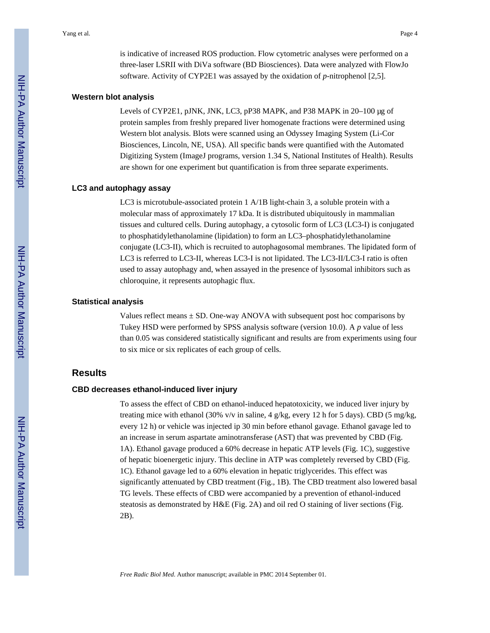is indicative of increased ROS production. Flow cytometric analyses were performed on a three-laser LSRII with DiVa software (BD Biosciences). Data were analyzed with FlowJo software. Activity of CYP2E1 was assayed by the oxidation of *p*-nitrophenol [2,5].

#### **Western blot analysis**

Levels of CYP2E1, pJNK, JNK, LC3, pP38 MAPK, and P38 MAPK in 20–100 μg of protein samples from freshly prepared liver homogenate fractions were determined using Western blot analysis. Blots were scanned using an Odyssey Imaging System (Li-Cor Biosciences, Lincoln, NE, USA). All specific bands were quantified with the Automated Digitizing System (ImageJ programs, version 1.34 S, National Institutes of Health). Results are shown for one experiment but quantification is from three separate experiments.

#### **LC3 and autophagy assay**

LC3 is microtubule-associated protein 1 A/1B light-chain 3, a soluble protein with a molecular mass of approximately 17 kDa. It is distributed ubiquitously in mammalian tissues and cultured cells. During autophagy, a cytosolic form of LC3 (LC3-I) is conjugated to phosphatidylethanolamine (lipidation) to form an LC3–phosphatidylethanolamine conjugate (LC3-II), which is recruited to autophagosomal membranes. The lipidated form of LC3 is referred to LC3-II, whereas LC3-I is not lipidated. The LC3-II/LC3-I ratio is often used to assay autophagy and, when assayed in the presence of lysosomal inhibitors such as chloroquine, it represents autophagic flux.

#### **Statistical analysis**

Values reflect means  $\pm$  SD. One-way ANOVA with subsequent post hoc comparisons by Tukey HSD were performed by SPSS analysis software (version 10.0). A *p* value of less than 0.05 was considered statistically significant and results are from experiments using four to six mice or six replicates of each group of cells.

## **Results**

#### **CBD decreases ethanol-induced liver injury**

To assess the effect of CBD on ethanol-induced hepatotoxicity, we induced liver injury by treating mice with ethanol (30% v/v in saline, 4 g/kg, every 12 h for 5 days). CBD (5 mg/kg, every 12 h) or vehicle was injected ip 30 min before ethanol gavage. Ethanol gavage led to an increase in serum aspartate aminotransferase (AST) that was prevented by CBD (Fig. 1A). Ethanol gavage produced a 60% decrease in hepatic ATP levels (Fig. 1C), suggestive of hepatic bioenergetic injury. This decline in ATP was completely reversed by CBD (Fig. 1C). Ethanol gavage led to a 60% elevation in hepatic triglycerides. This effect was significantly attenuated by CBD treatment (Fig., 1B). The CBD treatment also lowered basal TG levels. These effects of CBD were accompanied by a prevention of ethanol-induced steatosis as demonstrated by H&E (Fig. 2A) and oil red O staining of liver sections (Fig. 2B).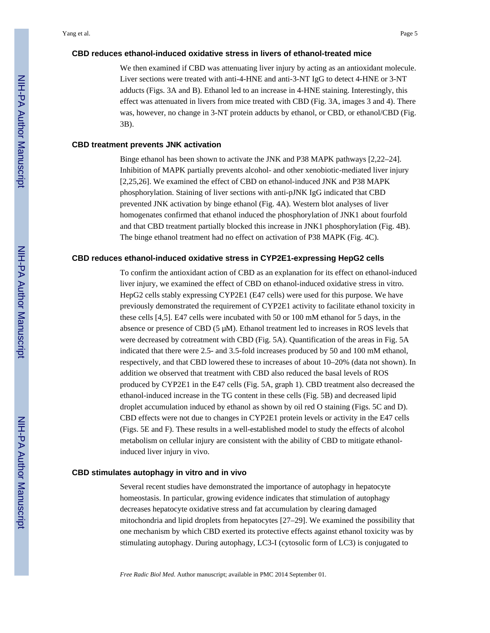#### **CBD reduces ethanol-induced oxidative stress in livers of ethanol-treated mice**

We then examined if CBD was attenuating liver injury by acting as an antioxidant molecule. Liver sections were treated with anti-4-HNE and anti-3-NT IgG to detect 4-HNE or 3-NT adducts (Figs. 3A and B). Ethanol led to an increase in 4-HNE staining. Interestingly, this effect was attenuated in livers from mice treated with CBD (Fig. 3A, images 3 and 4). There was, however, no change in 3-NT protein adducts by ethanol, or CBD, or ethanol/CBD (Fig. 3B).

#### **CBD treatment prevents JNK activation**

Binge ethanol has been shown to activate the JNK and P38 MAPK pathways [2,22–24]. Inhibition of MAPK partially prevents alcohol- and other xenobiotic-mediated liver injury [2,25,26]. We examined the effect of CBD on ethanol-induced JNK and P38 MAPK phosphorylation. Staining of liver sections with anti-pJNK IgG indicated that CBD prevented JNK activation by binge ethanol (Fig. 4A). Western blot analyses of liver homogenates confirmed that ethanol induced the phosphorylation of JNK1 about fourfold and that CBD treatment partially blocked this increase in JNK1 phosphorylation (Fig. 4B). The binge ethanol treatment had no effect on activation of P38 MAPK (Fig. 4C).

#### **CBD reduces ethanol-induced oxidative stress in CYP2E1-expressing HepG2 cells**

To confirm the antioxidant action of CBD as an explanation for its effect on ethanol-induced liver injury, we examined the effect of CBD on ethanol-induced oxidative stress in vitro. HepG2 cells stably expressing CYP2E1 (E47 cells) were used for this purpose. We have previously demonstrated the requirement of CYP2E1 activity to facilitate ethanol toxicity in these cells [4,5]. E47 cells were incubated with 50 or 100 mM ethanol for 5 days, in the absence or presence of CBD  $(5 \mu M)$ . Ethanol treatment led to increases in ROS levels that were decreased by cotreatment with CBD (Fig. 5A). Quantification of the areas in Fig. 5A indicated that there were 2.5- and 3.5-fold increases produced by 50 and 100 mM ethanol, respectively, and that CBD lowered these to increases of about 10–20% (data not shown). In addition we observed that treatment with CBD also reduced the basal levels of ROS produced by CYP2E1 in the E47 cells (Fig. 5A, graph 1). CBD treatment also decreased the ethanol-induced increase in the TG content in these cells (Fig. 5B) and decreased lipid droplet accumulation induced by ethanol as shown by oil red O staining (Figs. 5C and D). CBD effects were not due to changes in CYP2E1 protein levels or activity in the E47 cells (Figs. 5E and F). These results in a well-established model to study the effects of alcohol metabolism on cellular injury are consistent with the ability of CBD to mitigate ethanolinduced liver injury in vivo.

#### **CBD stimulates autophagy in vitro and in vivo**

Several recent studies have demonstrated the importance of autophagy in hepatocyte homeostasis. In particular, growing evidence indicates that stimulation of autophagy decreases hepatocyte oxidative stress and fat accumulation by clearing damaged mitochondria and lipid droplets from hepatocytes [27–29]. We examined the possibility that one mechanism by which CBD exerted its protective effects against ethanol toxicity was by stimulating autophagy. During autophagy, LC3-I (cytosolic form of LC3) is conjugated to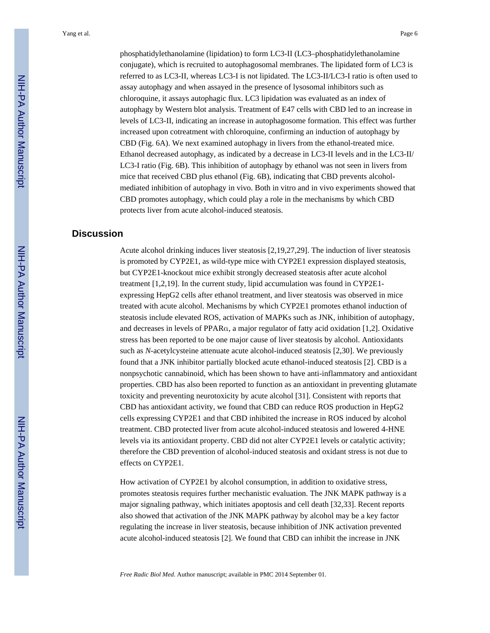phosphatidylethanolamine (lipidation) to form LC3-II (LC3–phosphatidylethanolamine conjugate), which is recruited to autophagosomal membranes. The lipidated form of LC3 is referred to as LC3-II, whereas LC3-I is not lipidated. The LC3-II/LC3-I ratio is often used to assay autophagy and when assayed in the presence of lysosomal inhibitors such as chloroquine, it assays autophagic flux. LC3 lipidation was evaluated as an index of autophagy by Western blot analysis. Treatment of E47 cells with CBD led to an increase in levels of LC3-II, indicating an increase in autophagosome formation. This effect was further increased upon cotreatment with chloroquine, confirming an induction of autophagy by CBD (Fig. 6A). We next examined autophagy in livers from the ethanol-treated mice. Ethanol decreased autophagy, as indicated by a decrease in LC3-II levels and in the LC3-II/ LC3-I ratio (Fig. 6B). This inhibition of autophagy by ethanol was not seen in livers from mice that received CBD plus ethanol (Fig. 6B), indicating that CBD prevents alcoholmediated inhibition of autophagy in vivo. Both in vitro and in vivo experiments showed that CBD promotes autophagy, which could play a role in the mechanisms by which CBD protects liver from acute alcohol-induced steatosis.

## **Discussion**

Acute alcohol drinking induces liver steatosis [2,19,27,29]. The induction of liver steatosis is promoted by CYP2E1, as wild-type mice with CYP2E1 expression displayed steatosis, but CYP2E1-knockout mice exhibit strongly decreased steatosis after acute alcohol treatment [1,2,19]. In the current study, lipid accumulation was found in CYP2E1 expressing HepG2 cells after ethanol treatment, and liver steatosis was observed in mice treated with acute alcohol. Mechanisms by which CYP2E1 promotes ethanol induction of steatosis include elevated ROS, activation of MAPKs such as JNK, inhibition of autophagy, and decreases in levels of PPARα, a major regulator of fatty acid oxidation [1,2]. Oxidative stress has been reported to be one major cause of liver steatosis by alcohol. Antioxidants such as *N*-acetylcysteine attenuate acute alcohol-induced steatosis [2,30]. We previously found that a JNK inhibitor partially blocked acute ethanol-induced steatosis [2]. CBD is a nonpsychotic cannabinoid, which has been shown to have anti-inflammatory and antioxidant properties. CBD has also been reported to function as an antioxidant in preventing glutamate toxicity and preventing neurotoxicity by acute alcohol [31]. Consistent with reports that CBD has antioxidant activity, we found that CBD can reduce ROS production in HepG2 cells expressing CYP2E1 and that CBD inhibited the increase in ROS induced by alcohol treatment. CBD protected liver from acute alcohol-induced steatosis and lowered 4-HNE levels via its antioxidant property. CBD did not alter CYP2E1 levels or catalytic activity; therefore the CBD prevention of alcohol-induced steatosis and oxidant stress is not due to effects on CYP2E1.

How activation of CYP2E1 by alcohol consumption, in addition to oxidative stress, promotes steatosis requires further mechanistic evaluation. The JNK MAPK pathway is a major signaling pathway, which initiates apoptosis and cell death [32,33]. Recent reports also showed that activation of the JNK MAPK pathway by alcohol may be a key factor regulating the increase in liver steatosis, because inhibition of JNK activation prevented acute alcohol-induced steatosis [2]. We found that CBD can inhibit the increase in JNK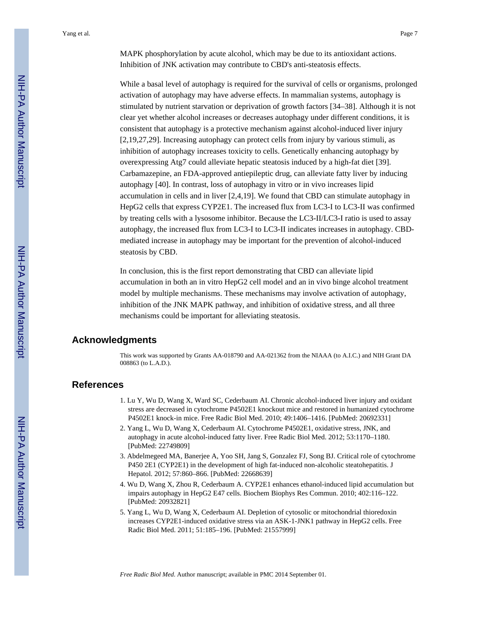MAPK phosphorylation by acute alcohol, which may be due to its antioxidant actions. Inhibition of JNK activation may contribute to CBD's anti-steatosis effects.

While a basal level of autophagy is required for the survival of cells or organisms, prolonged activation of autophagy may have adverse effects. In mammalian systems, autophagy is stimulated by nutrient starvation or deprivation of growth factors [34–38]. Although it is not clear yet whether alcohol increases or decreases autophagy under different conditions, it is consistent that autophagy is a protective mechanism against alcohol-induced liver injury [2,19,27,29]. Increasing autophagy can protect cells from injury by various stimuli, as inhibition of autophagy increases toxicity to cells. Genetically enhancing autophagy by overexpressing Atg7 could alleviate hepatic steatosis induced by a high-fat diet [39]. Carbamazepine, an FDA-approved antiepileptic drug, can alleviate fatty liver by inducing autophagy [40]. In contrast, loss of autophagy in vitro or in vivo increases lipid accumulation in cells and in liver [2,4,19]. We found that CBD can stimulate autophagy in HepG2 cells that express CYP2E1. The increased flux from LC3-I to LC3-II was confirmed by treating cells with a lysosome inhibitor. Because the LC3-II/LC3-I ratio is used to assay autophagy, the increased flux from LC3-I to LC3-II indicates increases in autophagy. CBDmediated increase in autophagy may be important for the prevention of alcohol-induced steatosis by CBD.

In conclusion, this is the first report demonstrating that CBD can alleviate lipid accumulation in both an in vitro HepG2 cell model and an in vivo binge alcohol treatment model by multiple mechanisms. These mechanisms may involve activation of autophagy, inhibition of the JNK MAPK pathway, and inhibition of oxidative stress, and all three mechanisms could be important for alleviating steatosis.

## **Acknowledgments**

This work was supported by Grants AA-018790 and AA-021362 from the NIAAA (to A.I.C.) and NIH Grant DA 008863 (to L.A.D.).

## **References**

- 1. Lu Y, Wu D, Wang X, Ward SC, Cederbaum AI. Chronic alcohol-induced liver injury and oxidant stress are decreased in cytochrome P4502E1 knockout mice and restored in humanized cytochrome P4502E1 knock-in mice. Free Radic Biol Med. 2010; 49:1406–1416. [PubMed: 20692331]
- 2. Yang L, Wu D, Wang X, Cederbaum AI. Cytochrome P4502E1, oxidative stress, JNK, and autophagy in acute alcohol-induced fatty liver. Free Radic Biol Med. 2012; 53:1170–1180. [PubMed: 22749809]
- 3. Abdelmegeed MA, Banerjee A, Yoo SH, Jang S, Gonzalez FJ, Song BJ. Critical role of cytochrome P450 2E1 (CYP2E1) in the development of high fat-induced non-alcoholic steatohepatitis. J Hepatol. 2012; 57:860–866. [PubMed: 22668639]
- 4. Wu D, Wang X, Zhou R, Cederbaum A. CYP2E1 enhances ethanol-induced lipid accumulation but impairs autophagy in HepG2 E47 cells. Biochem Biophys Res Commun. 2010; 402:116–122. [PubMed: 20932821]
- 5. Yang L, Wu D, Wang X, Cederbaum AI. Depletion of cytosolic or mitochondrial thioredoxin increases CYP2E1-induced oxidative stress via an ASK-1-JNK1 pathway in HepG2 cells. Free Radic Biol Med. 2011; 51:185–196. [PubMed: 21557999]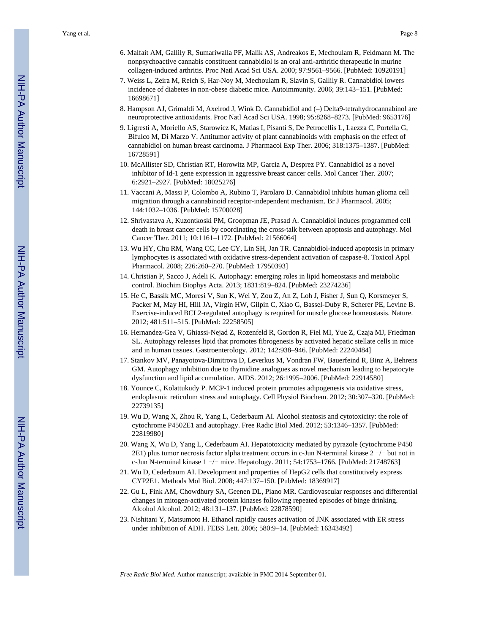- 6. Malfait AM, Gallily R, Sumariwalla PF, Malik AS, Andreakos E, Mechoulam R, Feldmann M. The nonpsychoactive cannabis constituent cannabidiol is an oral anti-arthritic therapeutic in murine collagen-induced arthritis. Proc Natl Acad Sci USA. 2000; 97:9561–9566. [PubMed: 10920191]
- 7. Weiss L, Zeira M, Reich S, Har-Noy M, Mechoulam R, Slavin S, Gallily R. Cannabidiol lowers incidence of diabetes in non-obese diabetic mice. Autoimmunity. 2006; 39:143–151. [PubMed: 16698671]
- 8. Hampson AJ, Grimaldi M, Axelrod J, Wink D. Cannabidiol and (–) Delta9-tetrahydrocannabinol are neuroprotective antioxidants. Proc Natl Acad Sci USA. 1998; 95:8268–8273. [PubMed: 9653176]
- 9. Ligresti A, Moriello AS, Starowicz K, Matias I, Pisanti S, De Petrocellis L, Laezza C, Portella G, Bifulco M, Di Marzo V. Antitumor activity of plant cannabinoids with emphasis on the effect of cannabidiol on human breast carcinoma. J Pharmacol Exp Ther. 2006; 318:1375–1387. [PubMed: 16728591]
- 10. McAllister SD, Christian RT, Horowitz MP, Garcia A, Desprez PY. Cannabidiol as a novel inhibitor of Id-1 gene expression in aggressive breast cancer cells. Mol Cancer Ther. 2007; 6:2921–2927. [PubMed: 18025276]
- 11. Vaccani A, Massi P, Colombo A, Rubino T, Parolaro D. Cannabidiol inhibits human glioma cell migration through a cannabinoid receptor-independent mechanism. Br J Pharmacol. 2005; 144:1032–1036. [PubMed: 15700028]
- 12. Shrivastava A, Kuzontkoski PM, Groopman JE, Prasad A. Cannabidiol induces programmed cell death in breast cancer cells by coordinating the cross-talk between apoptosis and autophagy. Mol Cancer Ther. 2011; 10:1161–1172. [PubMed: 21566064]
- 13. Wu HY, Chu RM, Wang CC, Lee CY, Lin SH, Jan TR. Cannabidiol-induced apoptosis in primary lymphocytes is associated with oxidative stress-dependent activation of caspase-8. Toxicol Appl Pharmacol. 2008; 226:260–270. [PubMed: 17950393]
- 14. Christian P, Sacco J, Adeli K. Autophagy: emerging roles in lipid homeostasis and metabolic control. Biochim Biophys Acta. 2013; 1831:819–824. [PubMed: 23274236]
- 15. He C, Bassik MC, Moresi V, Sun K, Wei Y, Zou Z, An Z, Loh J, Fisher J, Sun Q, Korsmeyer S, Packer M, May HI, Hill JA, Virgin HW, Gilpin C, Xiao G, Bassel-Duby R, Scherer PE, Levine B. Exercise-induced BCL2-regulated autophagy is required for muscle glucose homeostasis. Nature. 2012; 481:511–515. [PubMed: 22258505]
- 16. Hernandez-Gea V, Ghiassi-Nejad Z, Rozenfeld R, Gordon R, Fiel MI, Yue Z, Czaja MJ, Friedman SL. Autophagy releases lipid that promotes fibrogenesis by activated hepatic stellate cells in mice and in human tissues. Gastroenterology. 2012; 142:938–946. [PubMed: 22240484]
- 17. Stankov MV, Panayotova-Dimitrova D, Leverkus M, Vondran FW, Bauerfeind R, Binz A, Behrens GM. Autophagy inhibition due to thymidine analogues as novel mechanism leading to hepatocyte dysfunction and lipid accumulation. AIDS. 2012; 26:1995–2006. [PubMed: 22914580]
- 18. Younce C, Kolattukudy P. MCP-1 induced protein promotes adipogenesis via oxidative stress, endoplasmic reticulum stress and autophagy. Cell Physiol Biochem. 2012; 30:307–320. [PubMed: 22739135]
- 19. Wu D, Wang X, Zhou R, Yang L, Cederbaum AI. Alcohol steatosis and cytotoxicity: the role of cytochrome P4502E1 and autophagy. Free Radic Biol Med. 2012; 53:1346–1357. [PubMed: 22819980]
- 20. Wang X, Wu D, Yang L, Cederbaum AI. Hepatotoxicity mediated by pyrazole (cytochrome P450 2E1) plus tumor necrosis factor alpha treatment occurs in c-Jun N-terminal kinase 2 −/− but not in c-Jun N-terminal kinase 1 −/− mice. Hepatology. 2011; 54:1753–1766. [PubMed: 21748763]
- 21. Wu D, Cederbaum AI. Development and properties of HepG2 cells that constitutively express CYP2E1. Methods Mol Biol. 2008; 447:137–150. [PubMed: 18369917]
- 22. Gu L, Fink AM, Chowdhury SA, Geenen DL, Piano MR. Cardiovascular responses and differential changes in mitogen-activated protein kinases following repeated episodes of binge drinking. Alcohol Alcohol. 2012; 48:131–137. [PubMed: 22878590]
- 23. Nishitani Y, Matsumoto H. Ethanol rapidly causes activation of JNK associated with ER stress under inhibition of ADH. FEBS Lett. 2006; 580:9–14. [PubMed: 16343492]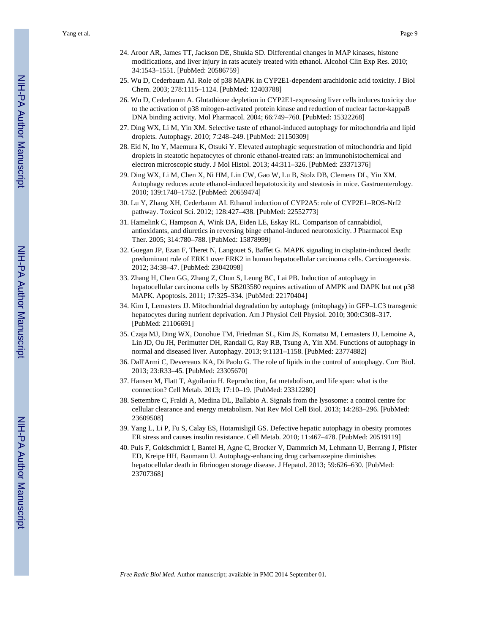- 24. Aroor AR, James TT, Jackson DE, Shukla SD. Differential changes in MAP kinases, histone modifications, and liver injury in rats acutely treated with ethanol. Alcohol Clin Exp Res. 2010; 34:1543–1551. [PubMed: 20586759]
- 25. Wu D, Cederbaum AI. Role of p38 MAPK in CYP2E1-dependent arachidonic acid toxicity. J Biol Chem. 2003; 278:1115–1124. [PubMed: 12403788]
- 26. Wu D, Cederbaum A. Glutathione depletion in CYP2E1-expressing liver cells induces toxicity due to the activation of p38 mitogen-activated protein kinase and reduction of nuclear factor-kappaB DNA binding activity. Mol Pharmacol. 2004; 66:749–760. [PubMed: 15322268]
- 27. Ding WX, Li M, Yin XM. Selective taste of ethanol-induced autophagy for mitochondria and lipid droplets. Autophagy. 2010; 7:248–249. [PubMed: 21150309]
- 28. Eid N, Ito Y, Maemura K, Otsuki Y. Elevated autophagic sequestration of mitochondria and lipid droplets in steatotic hepatocytes of chronic ethanol-treated rats: an immunohistochemical and electron microscopic study. J Mol Histol. 2013; 44:311–326. [PubMed: 23371376]
- 29. Ding WX, Li M, Chen X, Ni HM, Lin CW, Gao W, Lu B, Stolz DB, Clemens DL, Yin XM. Autophagy reduces acute ethanol-induced hepatotoxicity and steatosis in mice. Gastroenterology. 2010; 139:1740–1752. [PubMed: 20659474]
- 30. Lu Y, Zhang XH, Cederbaum AI. Ethanol induction of CYP2A5: role of CYP2E1–ROS-Nrf2 pathway. Toxicol Sci. 2012; 128:427–438. [PubMed: 22552773]
- 31. Hamelink C, Hampson A, Wink DA, Eiden LE, Eskay RL. Comparison of cannabidiol, antioxidants, and diuretics in reversing binge ethanol-induced neurotoxicity. J Pharmacol Exp Ther. 2005; 314:780–788. [PubMed: 15878999]
- 32. Guegan JP, Ezan F, Theret N, Langouet S, Baffet G. MAPK signaling in cisplatin-induced death: predominant role of ERK1 over ERK2 in human hepatocellular carcinoma cells. Carcinogenesis. 2012; 34:38–47. [PubMed: 23042098]
- 33. Zhang H, Chen GG, Zhang Z, Chun S, Leung BC, Lai PB. Induction of autophagy in hepatocellular carcinoma cells by SB203580 requires activation of AMPK and DAPK but not p38 MAPK. Apoptosis. 2011; 17:325–334. [PubMed: 22170404]
- 34. Kim I, Lemasters JJ. Mitochondrial degradation by autophagy (mitophagy) in GFP–LC3 transgenic hepatocytes during nutrient deprivation. Am J Physiol Cell Physiol. 2010; 300:C308–317. [PubMed: 21106691]
- 35. Czaja MJ, Ding WX, Donohue TM, Friedman SL, Kim JS, Komatsu M, Lemasters JJ, Lemoine A, Lin JD, Ou JH, Perlmutter DH, Randall G, Ray RB, Tsung A, Yin XM. Functions of autophagy in normal and diseased liver. Autophagy. 2013; 9:1131–1158. [PubMed: 23774882]
- 36. Dall'Armi C, Devereaux KA, Di Paolo G. The role of lipids in the control of autophagy. Curr Biol. 2013; 23:R33–45. [PubMed: 23305670]
- 37. Hansen M, Flatt T, Aguilaniu H. Reproduction, fat metabolism, and life span: what is the connection? Cell Metab. 2013; 17:10–19. [PubMed: 23312280]
- 38. Settembre C, Fraldi A, Medina DL, Ballabio A. Signals from the lysosome: a control centre for cellular clearance and energy metabolism. Nat Rev Mol Cell Biol. 2013; 14:283–296. [PubMed: 23609508]
- 39. Yang L, Li P, Fu S, Calay ES, Hotamisligil GS. Defective hepatic autophagy in obesity promotes ER stress and causes insulin resistance. Cell Metab. 2010; 11:467–478. [PubMed: 20519119]
- 40. Puls F, Goldschmidt I, Bantel H, Agne C, Brocker V, Dammrich M, Lehmann U, Berrang J, Pfister ED, Kreipe HH, Baumann U. Autophagy-enhancing drug carbamazepine diminishes hepatocellular death in fibrinogen storage disease. J Hepatol. 2013; 59:626–630. [PubMed: 23707368]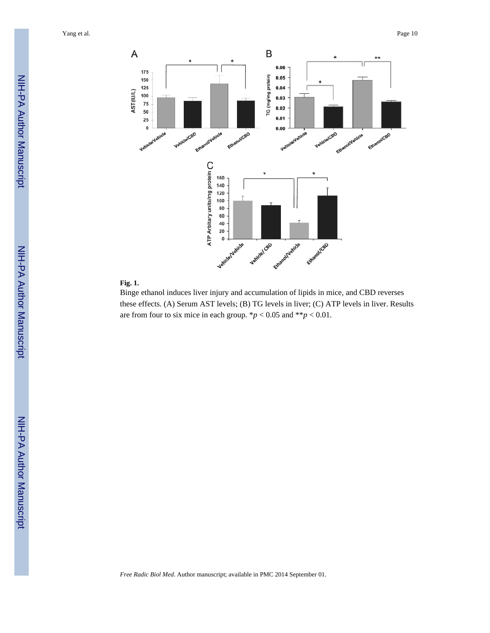

## **Fig. 1.**

Binge ethanol induces liver injury and accumulation of lipids in mice, and CBD reverses these effects. (A) Serum AST levels; (B) TG levels in liver; (C) ATP levels in liver. Results are from four to six mice in each group.  $\frac{*p}{<}0.05$  and  $\frac{*p}{<}0.01$ .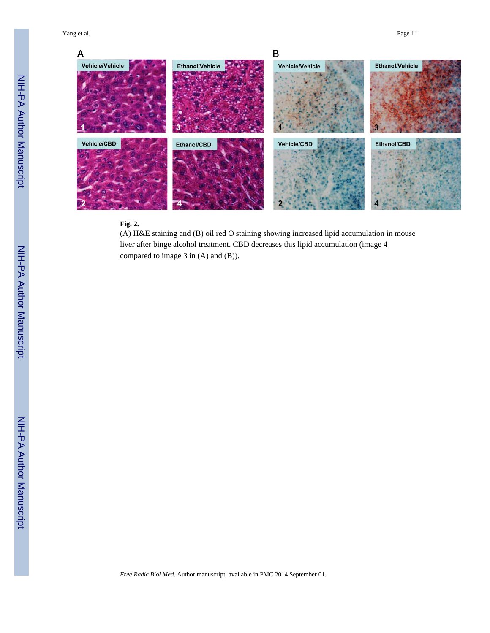

## **Fig. 2.**

(A) H&E staining and (B) oil red O staining showing increased lipid accumulation in mouse liver after binge alcohol treatment. CBD decreases this lipid accumulation (image 4 compared to image 3 in (A) and (B)).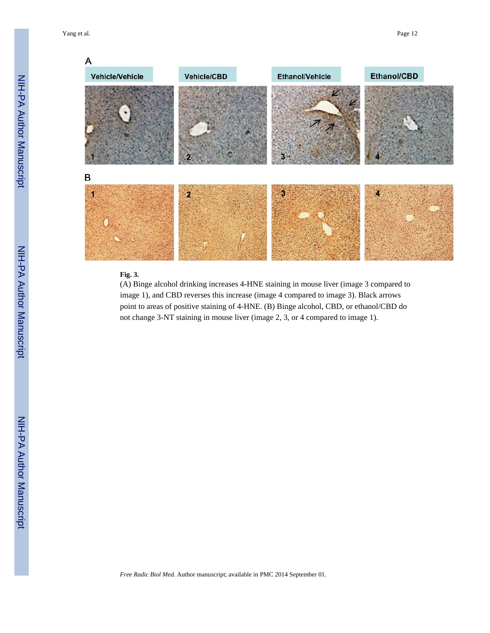

## **Fig. 3.**

(A) Binge alcohol drinking increases 4-HNE staining in mouse liver (image 3 compared to image 1), and CBD reverses this increase (image 4 compared to image 3). Black arrows point to areas of positive staining of 4-HNE. (B) Binge alcohol, CBD, or ethanol/CBD do not change 3-NT staining in mouse liver (image 2, 3, or 4 compared to image 1).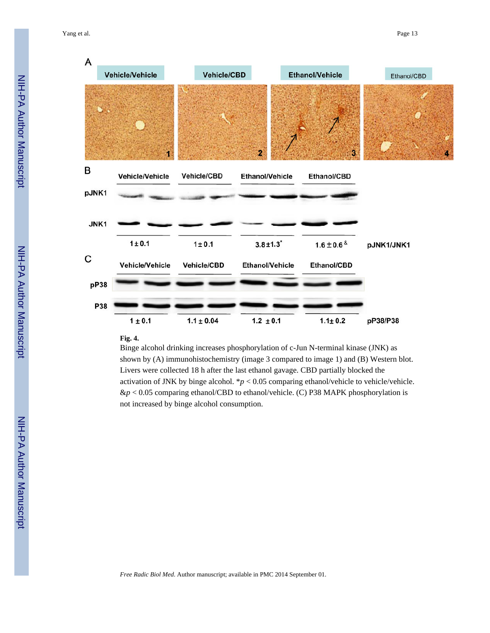

### **Fig. 4.**

Binge alcohol drinking increases phosphorylation of c-Jun N-terminal kinase (JNK) as shown by (A) immunohistochemistry (image 3 compared to image 1) and (B) Western blot. Livers were collected 18 h after the last ethanol gavage. CBD partially blocked the activation of JNK by binge alcohol.  $p < 0.05$  comparing ethanol/vehicle to vehicle/vehicle. &*p* < 0.05 comparing ethanol/CBD to ethanol/vehicle. (C) P38 MAPK phosphorylation is not increased by binge alcohol consumption.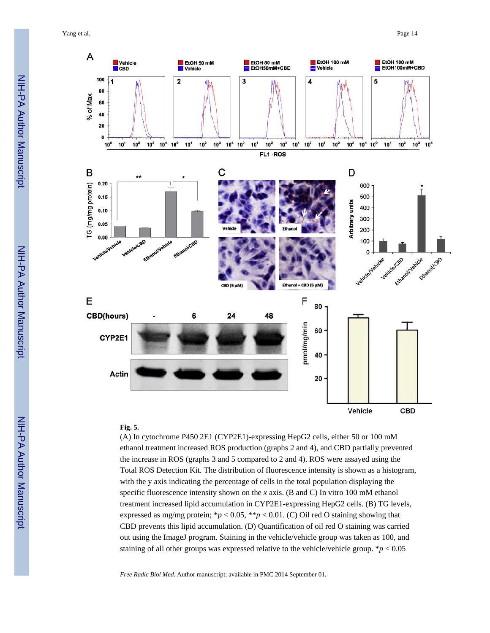Yang et al. Page 14



## **Fig. 5.**

(A) In cytochrome P450 2E1 (CYP2E1)-expressing HepG2 cells, either 50 or 100 mM ethanol treatment increased ROS production (graphs 2 and 4), and CBD partially prevented the increase in ROS (graphs 3 and 5 compared to 2 and 4). ROS were assayed using the Total ROS Detection Kit. The distribution of fluorescence intensity is shown as a histogram, with the y axis indicating the percentage of cells in the total population displaying the specific fluorescence intensity shown on the *x* axis. (B and C) In vitro 100 mM ethanol treatment increased lipid accumulation in CYP2E1-expressing HepG2 cells. (B) TG levels, expressed as mg/mg protein;  $\frac{*p}{<}0.05$ ,  $\frac{*p}{<}0.01$ . (C) Oil red O staining showing that CBD prevents this lipid accumulation. (D) Quantification of oil red O staining was carried out using the ImageJ program. Staining in the vehicle/vehicle group was taken as 100, and staining of all other groups was expressed relative to the vehicle/vehicle group.  $\frac{*p}{0.05}$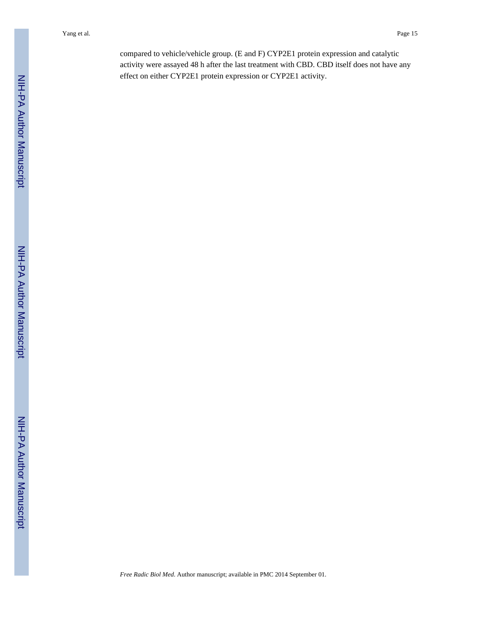compared to vehicle/vehicle group. (E and F) CYP2E1 protein expression and catalytic activity were assayed 48 h after the last treatment with CBD. CBD itself does not have any effect on either CYP2E1 protein expression or CYP2E1 activity.